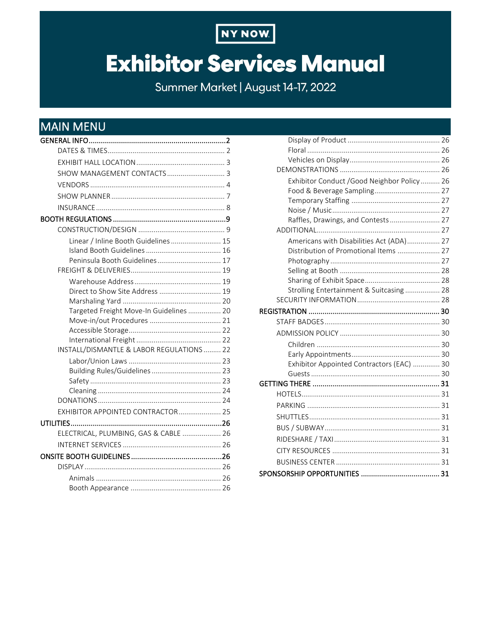

# **Exhibitor Services Manual**

Summer Market | August 14-17, 2022

# <span id="page-0-0"></span>**MAIN MENU**

| Linear / Inline Booth Guidelines  15      |  |
|-------------------------------------------|--|
|                                           |  |
| Peninsula Booth Guidelines 17             |  |
|                                           |  |
|                                           |  |
| Direct to Show Site Address  19           |  |
| Targeted Freight Move-In Guidelines  20   |  |
|                                           |  |
|                                           |  |
|                                           |  |
| INSTALL/DISMANTLE & LABOR REGULATIONS  22 |  |
|                                           |  |
|                                           |  |
|                                           |  |
|                                           |  |
|                                           |  |
| EXHIBITOR APPOINTED CONTRACTOR 25         |  |
|                                           |  |
| ELECTRICAL, PLUMBING, GAS & CABLE  26     |  |
|                                           |  |
|                                           |  |
|                                           |  |
|                                           |  |
|                                           |  |

| Exhibitor Conduct /Good Neighbor Policy  26 |  |
|---------------------------------------------|--|
| Food & Beverage Sampling 27                 |  |
|                                             |  |
|                                             |  |
| Raffles, Drawings, and Contests 27          |  |
|                                             |  |
| Americans with Disabilities Act (ADA) 27    |  |
| Distribution of Promotional Items  27       |  |
|                                             |  |
|                                             |  |
| Strolling Entertainment & Suitcasing  28    |  |
|                                             |  |
|                                             |  |
|                                             |  |
|                                             |  |
|                                             |  |
|                                             |  |
|                                             |  |
| Exhibitor Appointed Contractors (EAC)  30   |  |
|                                             |  |
|                                             |  |
|                                             |  |
|                                             |  |
|                                             |  |
|                                             |  |
|                                             |  |
|                                             |  |
|                                             |  |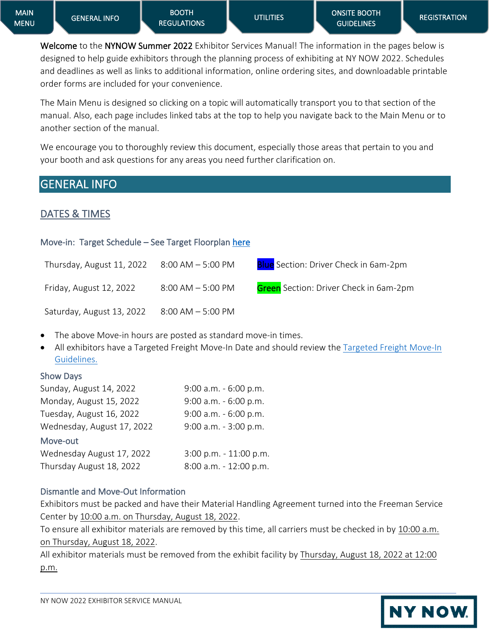**NY NOW.** 

Welcome to the NYNOW Summer 2022 Exhibitor Services Manual! The information in the pages below is designed to help guide exhibitors through the planning process of exhibiting at NY NOW 2022. Schedules and deadlines as well as links to additional information, online ordering sites, and downloadable printable order forms are included for your convenience.

The Main Menu is designed so clicking on a topic will automatically transport you to that section of the manual. Also, each page includes linked tabs at the top to help you navigate back to the Main Menu or to another section of the manual.

We encourage you to thoroughly review this document, especially those areas that pertain to you and your booth and ask questions for any areas you need further clarification on.

# <span id="page-1-0"></span>GENERAL INFO

## <span id="page-1-1"></span>DATES & TIMES

## Move-in: Target Schedule – See Target Floorplan [here](https://nynow.com/wp-content/uploads/2022/05/Target-NYNOWS-2208-L8044593-final.pdf)

| Thursday, August 11, 2022 8:00 AM - 5:00 PM |                      | <b>Blue</b> Section: Driver Check in 6am-2pm  |
|---------------------------------------------|----------------------|-----------------------------------------------|
| Friday, August 12, 2022                     | $8:00$ AM $-5:00$ PM | <b>Green</b> Section: Driver Check in 6am-2pm |
| Saturday, August 13, 2022                   | 8:00 AM - 5:00 PM    |                                               |

- The above Move-in hours are posted as standard move-in times.
- All exhibitors have a Targeted Freight Move-In Date and should review the [Targeted Freight Move-In](https://nynow.com/wp-content/uploads/2022/05/Target-NYNOWS-2208-L8044593-final.pdf)  [Guidelines.](https://nynow.com/wp-content/uploads/2022/05/Target-NYNOWS-2208-L8044593-final.pdf)

## Show Days

| 9:00 a.m. - 6:00 p.m.  |
|------------------------|
| 9:00 a.m. - 6:00 p.m.  |
| 9:00 a.m. - 6:00 p.m.  |
| 9:00 a.m. - 3:00 p.m.  |
|                        |
| 3:00 p.m. - 11:00 p.m. |
| 8:00 a.m. - 12:00 p.m. |
|                        |

## Dismantle and Move-Out Information

Exhibitors must be packed and have their Material Handling Agreement turned into the Freeman Service Center by 10:00 a.m. on Thursday, August 18, 2022.

To ensure all exhibitor materials are removed by this time, all carriers must be checked in by 10:00 a.m. on Thursday, August 18, 2022.

All exhibitor materials must be removed from the exhibit facility by Thursday, August 18, 2022 at 12:00 p.m.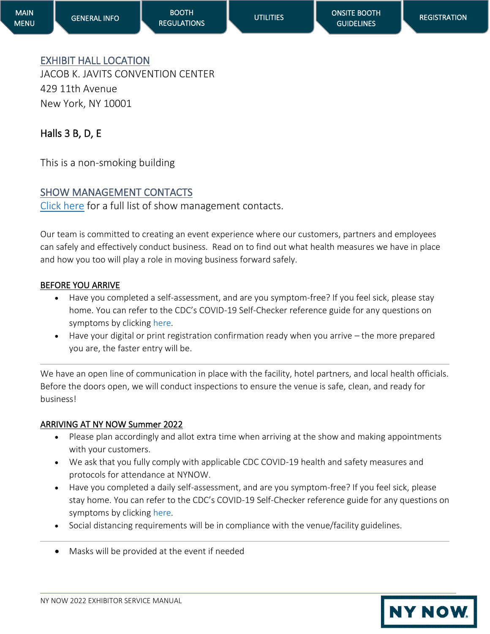**NY NOW** 

# <span id="page-2-0"></span>EXHIBIT HALL LOCATION

[GENERAL INFO](#page-1-0) 

JACOB K. JAVITS CONVENTION CENTER 429 11th Avenue New York, NY 10001

# Halls 3 B, D, E

This is a non-smoking building

# <span id="page-2-1"></span>SHOW MANAGEMENT CONTACTS

[Click here](https://nynow.com/contact-us/) for a full list of show management contacts.

Our team is committed to creating an event experience where our customers, partners and employees can safely and effectively conduct business. Read on to find out what health measures we have in place and how you too will play a role in moving business forward safely.

## BEFORE YOU ARRIVE

- Have you completed a self-assessment, and are you symptom-free? If you feel sick, please stay home. You can refer to the CDC's COVID-19 Self-Checker reference guide for any questions on symptoms by clicking [here.](https://www.cdc.gov/coronavirus/2019-ncov/symptoms-testing/coronavirus-self-checker.html)
- Have your digital or print registration confirmation ready when you arrive the more prepared you are, the faster entry will be.

We have an open line of communication in place with the facility, hotel partners, and local health officials. Before the doors open, we will conduct inspections to ensure the venue is safe, clean, and ready for business!

## ARRIVING AT NY NOW Summer 2022

- Please plan accordingly and allot extra time when arriving at the show and making appointments with your customers.
- We ask that you fully comply with applicable CDC COVID-19 health and safety measures and protocols for attendance at NYNOW.
- Have you completed a daily self-assessment, and are you symptom-free? If you feel sick, please stay home. You can refer to the CDC's COVID-19 Self-Checker reference guide for any questions on symptoms by clicking [here.](https://www.cdc.gov/coronavirus/2019-ncov/symptoms-testing/coronavirus-self-checker.html)
- Social distancing requirements will be in compliance with the venue/facility guidelines.
- Masks will be provided at the event if needed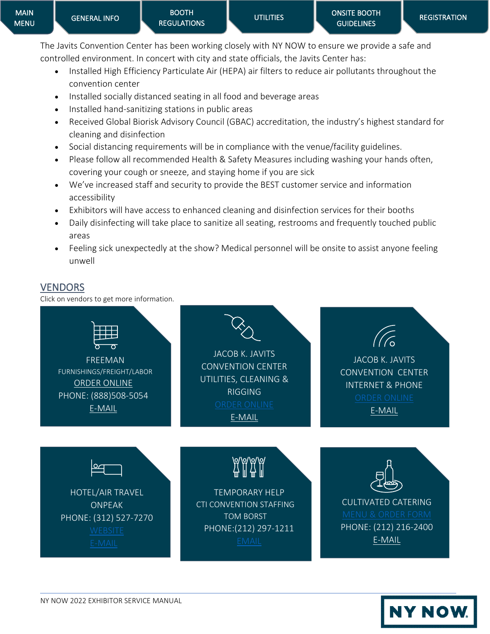The Javits Convention Center has been working closely with NY NOW to ensure we provide a safe and controlled environment. In concert with city and state officials, the Javits Center has:

- Installed High Efficiency Particulate Air (HEPA) air filters to reduce air pollutants throughout the convention center
- Installed socially distanced seating in all food and beverage areas
- Installed hand-sanitizing stations in public areas
- Received Global Biorisk Advisory Council (GBAC) accreditation, the industry's highest standard for cleaning and disinfection
- Social distancing requirements will be in compliance with the venue/facility guidelines.
- Please follow all recommended Health & Safety Measures including washing your hands often, covering your cough or sneeze, and staying home if you are sick
- We've increased staff and security to provide the BEST customer service and information accessibility
- Exhibitors will have access to enhanced cleaning and disinfection services for their booths
- Daily disinfecting will take place to sanitize all seating, restrooms and frequently touched public areas
- Feeling sick unexpectedly at the show? Medical personnel will be onsite to assist anyone feeling unwell

## <span id="page-3-0"></span>**VENDORS**

Click on vendors to get more information.



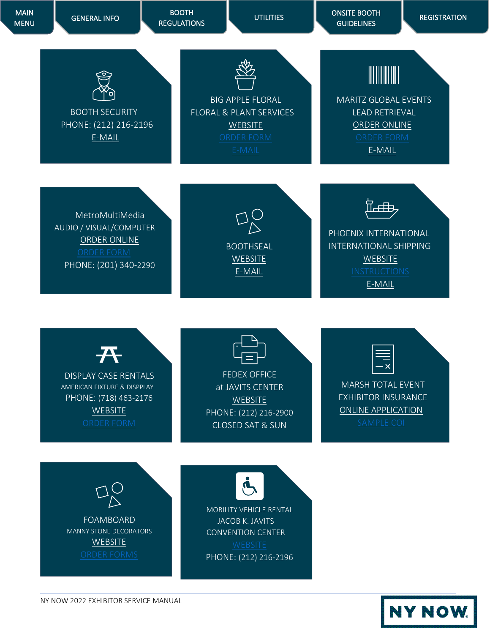

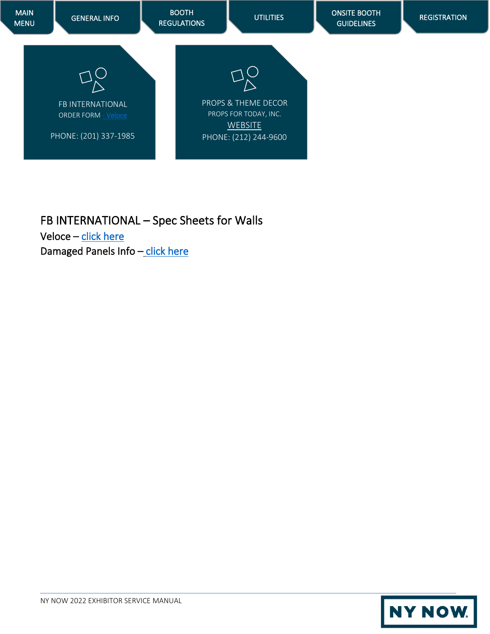

FB INTERNATIONAL – Spec Sheets for Walls Veloce – [click here](https://nynow.com/wp-content/uploads/2022/05/Veloce-Booth-Wall-Specifications.pdf)  Damaged Panels Info - [click here](https://nynow.com/wp-content/uploads/2022/05/walls-damage-panel-fee.pdf)

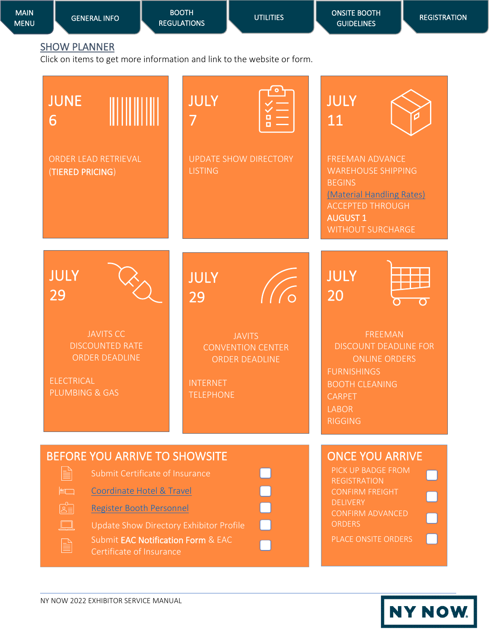<span id="page-6-0"></span>

| <b>MAIN</b><br><b>MENU</b>                                       | <b>GENERAL INFO</b>                                                                                        | <b>BOOTH</b><br><b>REGULATIONS</b>                                                                                                                       | <b>UTILITIES</b>                                                        | <b>ONSITE BOOTH</b><br><b>GUIDELINES</b>                                                                                                                                            | <b>REGISTRATION</b> |
|------------------------------------------------------------------|------------------------------------------------------------------------------------------------------------|----------------------------------------------------------------------------------------------------------------------------------------------------------|-------------------------------------------------------------------------|-------------------------------------------------------------------------------------------------------------------------------------------------------------------------------------|---------------------|
|                                                                  | <b>SHOW PLANNER</b>                                                                                        |                                                                                                                                                          | Click on items to get more information and link to the website or form. |                                                                                                                                                                                     |                     |
| <b>JUNE</b><br>6                                                 |                                                                                                            | <b>JULY</b><br>7                                                                                                                                         |                                                                         | <b>JULY</b><br>11                                                                                                                                                                   |                     |
|                                                                  | ORDER LEAD RETRIEVAL<br>(TIERED PRICING)                                                                   | <b>LISTING</b>                                                                                                                                           | <b>UPDATE SHOW DIRECTORY</b>                                            | <b>FREEMAN ADVANCE</b><br><b>WAREHOUSE SHIPPING</b><br><b>BEGINS</b><br>(Material Handling Rates)<br><b>ACCEPTED THROUGH</b><br><b>AUGUST 1</b><br><b>WITHOUT SURCHARGE</b>         |                     |
| <b>JULY</b><br>29                                                |                                                                                                            | <b>JULY</b><br>29                                                                                                                                        |                                                                         | <b>JULY</b><br>20                                                                                                                                                                   | $\sigma$            |
|                                                                  | <b>JAVITS CC</b><br><b>DISCOUNTED RATE</b><br><b>ORDER DEADLINE</b><br><b>ELECTRICAL</b><br>PLUMBING & GAS | <b>INTERNET</b><br><b>TELEPHONE</b>                                                                                                                      | <b>JAVITS</b><br><b>CONVENTION CENTER</b><br><b>ORDER DEADLINE</b>      | <b>FREEMAN</b><br><b>DISCOUNT DEADLINE FOR</b><br><b>ONLINE ORDERS</b><br><b>FURNISHINGS</b><br><b>BOOTH CLEANING</b><br>CARPET<br><b>LABOR</b><br><b>RIGGING</b>                   |                     |
| e<br>$\left  \frac{1}{2} \right $<br>$\mathbb{E}$<br>$\Box$<br>B | <b>Coordinate Hotel &amp; Travel</b><br>Register Booth Personnel<br>Certificate of Insurance               | <b>BEFORE YOU ARRIVE TO SHOWSITE</b><br>Submit Certificate of Insurance<br>Update Show Directory Exhibitor Profile<br>Submit EAC Notification Form & EAC |                                                                         | <b>ONCE YOU ARRIVE</b><br>PICK UP BADGE FROM<br><b>REGISTRATION</b><br><b>CONFIRM FREIGHT</b><br><b>DELIVERY</b><br><b>CONFIRM ADVANCED</b><br><b>ORDERS</b><br>PLACE ONSITE ORDERS |                     |

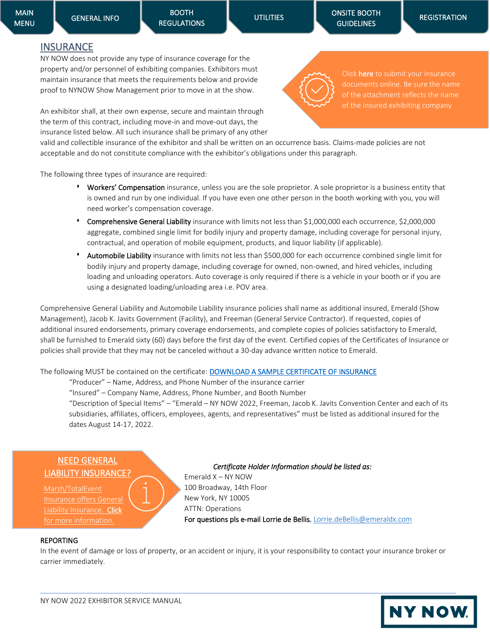## <span id="page-7-0"></span>**INSURANCE**

NY NOW does not provide any type of insurance coverage for the property and/or personnel of exhibiting companies. Exhibitors must maintain insurance that meets the requirements below and provide proof to NYNOW Show Management prior to move in at the show.

An exhibitor shall, at their own expense, secure and maintain through the term of this contract, including move-in and move-out days, the insurance listed below. All such insurance shall be primary of any other

valid and collectible insurance of the exhibitor and shall be written on an occurrence basis. Claims-made policies are not acceptable and do not constitute compliance with the exhibitor's obligations under this paragraph.

The following three types of insurance are required:

- Workers' Compensation insurance, unless you are the sole proprietor. A sole proprietor is a business entity that is owned and run by one individual. If you have even one other person in the booth working with you, you will need worker's compensation coverage.
- **•** Comprehensive General Liability insurance with limits not less than \$1,000,000 each occurrence, \$2,000,000 aggregate, combined single limit for bodily injury and property damage, including coverage for personal injury, contractual, and operation of mobile equipment, products, and liquor liability (if applicable).
- **•** Automobile Liability insurance with limits not less than \$500,000 for each occurrence combined single limit for bodily injury and property damage, including coverage for owned, non-owned, and hired vehicles, including loading and unloading operators. Auto coverage is only required if there is a vehicle in your booth or if you are using a designated loading/unloading area i.e. POV area.

Comprehensive General Liability and Automobile Liability insurance policies shall name as additional insured, Emerald (Show Management), Jacob K. Javits Government (Facility), and Freeman (General Service Contractor). If requested, copies of additional insured endorsements, primary coverage endorsements, and complete copies of policies satisfactory to Emerald, shall be furnished to Emerald sixty (60) days before the first day of the event. Certified copies of the Certificates of Insurance or policies shall provide that they may not be canceled without a 30-day advance written notice to Emerald.

The following MUST be contained on the certificate: [DOWNLOAD A SAMPLE CERTIFICATE OF INSURANCE](https://nynow.com/wp-content/uploads/2022/04/NY-NOW-Sample-COI.docx)

"Producer" – Name, Address, and Phone Number of the insurance carrier

"Insured" – Company Name, Address, Phone Number, and Booth Number

"Description of Special Items" – "Emerald – NY NOW 2022, Freeman, Jacob K. Javits Convention Center and each of its subsidiaries, affiliates, officers, employees, agents, and representatives" must be listed as additional insured for the dates August 14-17, 2022.

## [NEED GENERAL](https://protect-us.mimecast.com/s/JcXvCER2MGhWw7OZiZzHil?domain=totaleventinsurance.com)  [LIABILITY INSURANCE?](https://protect-us.mimecast.com/s/JcXvCER2MGhWw7OZiZzHil?domain=totaleventinsurance.com)

[Marsh/TotalEvent](https://protect-us.mimecast.com/s/JcXvCER2MGhWw7OZiZzHil?domain=totaleventinsurance.com)  [Liability Insurance. Click](https://protect-us.mimecast.com/s/JcXvCER2MGhWw7OZiZzHil?domain=totaleventinsurance.com)

*Certificate Holder Information should be listed as:*  Emerald X – NY NOW 100 Broadway, 14th Floor New York, NY 10005 ATTN: Operations For questions pls e-mail Lorrie de Bellis, [Lorrie.deBellis@emeraldx.com](mailto:Lorrie.deBellis@emeraldx.com)

#### REPORTING

In the event of damage or loss of property, or an accident or injury, it is your responsibility to contact your insurance broker or carrier immediately.





Click **here** [to submit your insurance](https://nynow.a2zinc.net/Winter2022/Public/e_exhibitorconsole.aspx) [documents online. Be sure the name](https://nynow.a2zinc.net/Summer2022/Public/e_Login.aspx?FromPage=e_ExhibitorConsole)  [of the attachment reflects the name](https://nynow.a2zinc.net/Winter2022/Public/e_exhibitorconsole.aspx)  [of the insured exhibiting company](https://nynow.a2zinc.net/Winter2022/Public/e_exhibitorconsole.aspx)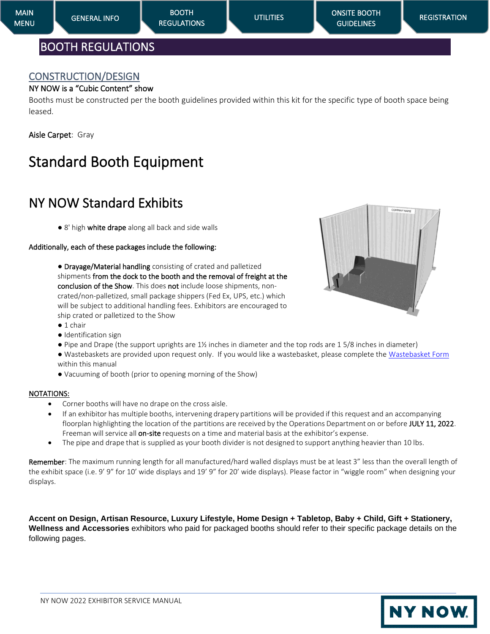## <span id="page-8-1"></span><span id="page-8-0"></span>CONSTRUCTION/DESIGN

## NY NOW is a "Cubic Content" show

Booths must be constructed per the booth guidelines provided within this kit for the specific type of booth space being leased.

Aisle Carpet: Gray

# Standard Booth Equipment

# NY NOW Standard Exhibits

● 8' high white drape along all back and side walls

#### Additionally, each of these packages include the following:

● Drayage/Material handling consisting of crated and palletized shipments from the dock to the booth and the removal of freight at the conclusion of the Show. This does not include loose shipments, noncrated/non-palletized, small package shippers (Fed Ex, UPS, etc.) which will be subject to additional handling fees. Exhibitors are encouraged to ship crated or palletized to the Show



- Identification sign
- Pipe and Drape (the support uprights are 1½ inches in diameter and the top rods are 1 5/8 inches in diameter)
- Wastebaskets are provided upon request only. If you would like a wastebasket, please complete the [Wastebasket Form](https://nynow.a2zinc.net/Summer2022/Public/e_exhibitorconsole.aspx) within this manual
- Vacuuming of booth (prior to opening morning of the Show)

#### NOTATIONS:

- Corner booths will have no drape on the cross aisle.
- If an exhibitor has multiple booths, intervening drapery partitions will be provided if this request and an accompanying floorplan highlighting the location of the partitions are received by the Operations Department on or before JULY 11, 2022. Freeman will service all on-site requests on a time and material basis at the exhibitor's expense.
- The pipe and drape that is supplied as your booth divider is not designed to support anything heavier than 10 lbs.

Remember: The maximum running length for all manufactured/hard walled displays must be at least 3" less than the overall length of the exhibit space (i.e. 9' 9" for 10' wide displays and 19' 9" for 20' wide displays). Please factor in "wiggle room" when designing your displays.

**Accent on Design, Artisan Resource, Luxury Lifestyle, Home Design + Tabletop, Baby + Child, Gift + Stationery, Wellness and Accessories** exhibitors who paid for packaged booths should refer to their specific package details on the following pages.



**NY NOW**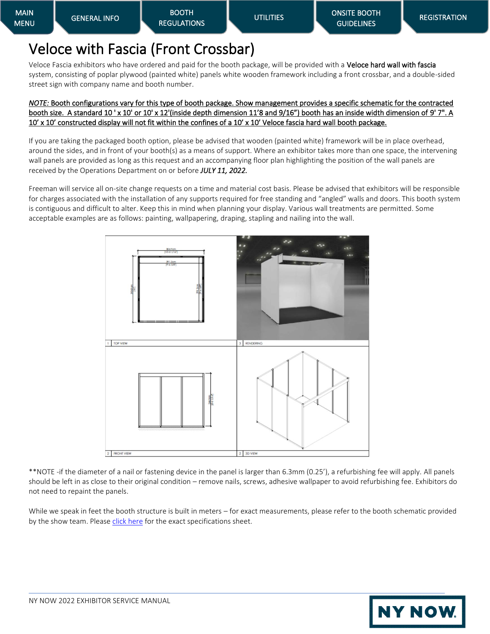# Veloce with Fascia (Front Crossbar)

Veloce Fascia exhibitors who have ordered and paid for the booth package, will be provided with a Veloce hard wall with fascia system, consisting of poplar plywood (painted white) panels white wooden framework including a front crossbar, and a double-sided street sign with company name and booth number.

#### *NOTE:* Booth configurations vary for this type of booth package. Show management provides a specific schematic for the contracted booth size. A standard 10 'x 10' or 10' x 12'(inside depth dimension 11'8 and 9/16") booth has an inside width dimension of 9' 7". A 10' x 10' constructed display will not fit within the confines of a 10' x 10' Veloce fascia hard wall booth package.

If you are taking the packaged booth option, please be advised that wooden (painted white) framework will be in place overhead, around the sides, and in front of your booth(s) as a means of support. Where an exhibitor takes more than one space, the intervening wall panels are provided as long as this request and an accompanying floor plan highlighting the position of the wall panels are received by the Operations Department on or before *JULY 11, 2022.*

Freeman will service all on-site change requests on a time and material cost basis. Please be advised that exhibitors will be responsible for charges associated with the installation of any supports required for free standing and "angled" walls and doors. This booth system is contiguous and difficult to alter. Keep this in mind when planning your display. Various wall treatments are permitted. Some acceptable examples are as follows: painting, wallpapering, draping, stapling and nailing into the wall.



\*\*NOTE -if the diameter of a nail or fastening device in the panel is larger than 6.3mm (0.25'), a refurbishing fee will apply. All panels should be left in as close to their original condition – remove nails, screws, adhesive wallpaper to avoid refurbishing fee. Exhibitors do not need to repaint the panels.

While we speak in feet the booth structure is built in meters – for exact measurements, please refer to the booth schematic provided by the show team. Pleas[e click here](https://d15k2d11r6t6rl.cloudfront.net/public/users/Integrators/BeeProAgency/337791_323381/Veloce%20Booth%20Wall%20Specifications.pdf) for the exact specifications sheet.

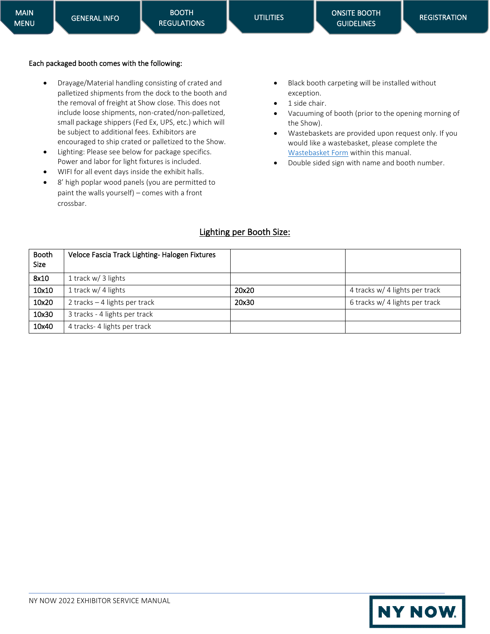#### Each packaged booth comes with the following:

- Drayage/Material handling consisting of crated and palletized shipments from the dock to the booth and the removal of freight at Show close. This does not include loose shipments, non-crated/non-palletized, small package shippers (Fed Ex, UPS, etc.) which will be subject to additional fees. Exhibitors are encouraged to ship crated or palletized to the Show.
- Lighting: Please see below for package specifics. Power and labor for light fixtures is included.
- WIFI for all event days inside the exhibit halls.
- 8' high poplar wood panels (you are permitted to paint the walls yourself) – comes with a front crossbar.
- Black booth carpeting will be installed without exception.
- 1 side chair.
- Vacuuming of booth (prior to the opening morning of the Show).
- Wastebaskets are provided upon request only. If you would like a wastebasket, please complete the [Wastebasket Form](https://nynow.a2zinc.net/Summer2022/Public/e_exhibitorconsole.aspx) within this manual.
- Double sided sign with name and booth number.

## Lighting per Booth Size:

| <b>Booth</b><br><b>Size</b> | Veloce Fascia Track Lighting-Halogen Fixtures |       |                                |
|-----------------------------|-----------------------------------------------|-------|--------------------------------|
| 8x10                        | 1 track $w/$ 3 lights                         |       |                                |
| 10x10                       | 1 track $w/4$ lights                          | 20x20 | 4 tracks w/ 4 lights per track |
| 10x20                       | 2 tracks $-4$ lights per track                | 20x30 | 6 tracks w/ 4 lights per track |
| 10x30                       | 3 tracks - 4 lights per track                 |       |                                |
| 10x40                       | 4 tracks- 4 lights per track                  |       |                                |

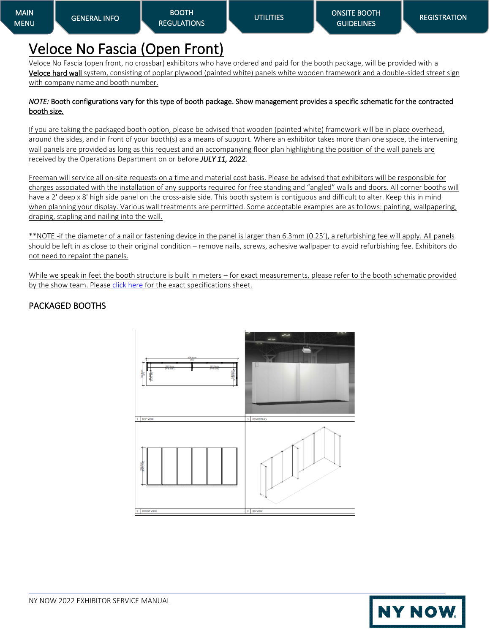# Veloce No Fascia (Open Front)

Veloce No Fascia (open front, no crossbar) exhibitors who have ordered and paid for the booth package, will be provided with a Veloce hard wall system, consisting of poplar plywood (painted white) panels white wooden framework and a double-sided street sign with company name and booth number.

#### *NOTE:* Booth configurations vary for this type of booth package. Show management provides a specific schematic for the contracted booth size*.*

If you are taking the packaged booth option, please be advised that wooden (painted white) framework will be in place overhead, around the sides, and in front of your booth(s) as a means of support. Where an exhibitor takes more than one space, the intervening wall panels are provided as long as this request and an accompanying floor plan highlighting the position of the wall panels are received by the Operations Department on or before *JULY 11, 2022.*

Freeman will service all on-site requests on a time and material cost basis. Please be advised that exhibitors will be responsible for charges associated with the installation of any supports required for free standing and "angled" walls and doors. All corner booths will have a 2' deep x 8' high side panel on the cross-aisle side. This booth system is contiguous and difficult to alter. Keep this in mind when planning your display. Various wall treatments are permitted. Some acceptable examples are as follows: painting, wallpapering, draping, stapling and nailing into the wall.

\*\*NOTE -if the diameter of a nail or fastening device in the panel is larger than 6.3mm (0.25'), a refurbishing fee will apply. All panels should be left in as close to their original condition – remove nails, screws, adhesive wallpaper to avoid refurbishing fee. Exhibitors do not need to repaint the panels.

While we speak in feet the booth structure is built in meters – for exact measurements, please refer to the booth schematic provided by the show team. Pleas[e click here](https://d15k2d11r6t6rl.cloudfront.net/public/users/Integrators/BeeProAgency/337791_323381/Veloce%20Booth%20Wall%20Specifications.pdf) for the exact specifications sheet.

## PACKAGED BOOTHS



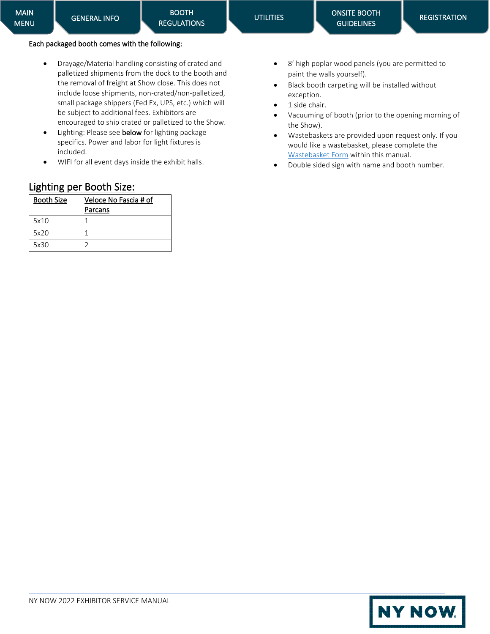#### Each packaged booth comes with the following:

[GENERAL INFO](#page-1-0) 

- Drayage/Material handling consisting of crated and palletized shipments from the dock to the booth and the removal of freight at Show close. This does not include loose shipments, non-crated/non-palletized, small package shippers (Fed Ex, UPS, etc.) which will be subject to additional fees. Exhibitors are encouraged to ship crated or palletized to the Show.
- Lighting: Please see below for lighting package specifics. Power and labor for light fixtures is included.
- WIFI for all event days inside the exhibit halls.

| Lighting per Booth Size: |                       |  |  |
|--------------------------|-----------------------|--|--|
| <b>Booth Size</b>        | Veloce No Fascia # of |  |  |
|                          | Parcans               |  |  |
| 5x10                     |                       |  |  |
| 5x20                     | 1                     |  |  |
|                          |                       |  |  |

- 8' high poplar wood panels (you are permitted to paint the walls yourself).
- Black booth carpeting will be installed without exception.
- 1 side chair.

**UTILITIES** 

- Vacuuming of booth (prior to the opening morning of the Show).
- Wastebaskets are provided upon request only. If you would like a wastebasket, please complete the [Wastebasket Form](https://nynow.a2zinc.net/Summer2022/public/e_exhibitorconsole.aspx) within this manual.
- Double sided sign with name and booth number.

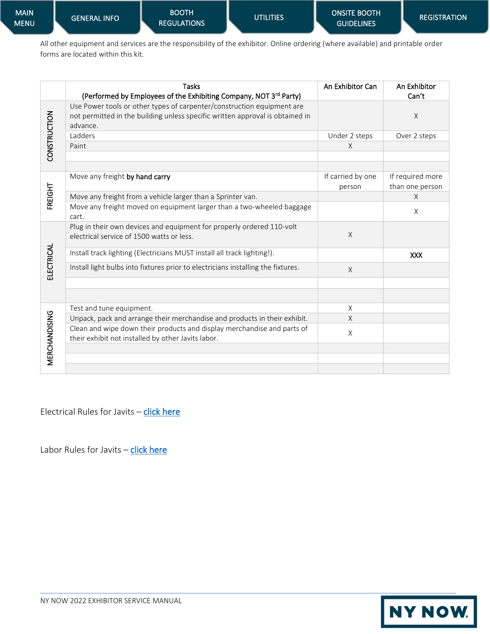All other equipment and services are the responsibility of the exhibitor. Online ordering (where available) and printable order forms are located within this kit.

|               | <b>Tasks</b><br>(Performed by Employees of the Exhibiting Company, NOT 3rd Party)                                                                                   | An Exhibitor Can            | An Exhibitor<br>Can't               |
|---------------|---------------------------------------------------------------------------------------------------------------------------------------------------------------------|-----------------------------|-------------------------------------|
| CONSTRUCTION  | Use Power tools or other types of carpenter/construction equipment are<br>not permitted in the building unless specific written approval is obtained in<br>advance. |                             | $\times$                            |
|               | Ladders                                                                                                                                                             | Under 2 steps               | Over 2 steps                        |
|               | Paint                                                                                                                                                               | X                           |                                     |
|               | Move any freight by hand carry                                                                                                                                      | If carried by one<br>person | If required more<br>than one person |
| FREIGHT       | Move any freight from a vehicle larger than a Sprinter van.                                                                                                         |                             | $\times$                            |
|               | Move any freight moved on equipment larger than a two-wheeled baggage<br>cart.                                                                                      |                             | X                                   |
|               | Plug in their own devices and equipment for properly ordered 110-volt<br>electrical service of 1500 watts or less.                                                  | $\times$                    |                                     |
|               | Install track lighting (Electricians MUST install all track lighting!).                                                                                             |                             | <b>XXX</b>                          |
| ELECTRICAL    | Install light bulbs into fixtures prior to electricians installing the fixtures.                                                                                    | X                           |                                     |
|               |                                                                                                                                                                     |                             |                                     |
|               | Test and tune equipment.                                                                                                                                            | X                           |                                     |
|               | Unpack, pack and arrange their merchandise and products in their exhibit.                                                                                           | $\times$                    |                                     |
| MERCHANDISING | Clean and wipe down their products and display merchandise and parts of<br>their exhibit not installed by other Javits labor.                                       | X                           |                                     |
|               |                                                                                                                                                                     |                             |                                     |
|               |                                                                                                                                                                     |                             |                                     |
|               |                                                                                                                                                                     |                             |                                     |

Electrical Rules for Javits - [click here](https://www.javitscenter.com/en/plan/policies/#:~:text=Exhibitors%20may%20install%20and%20dismantle,to%20cables%20run%20by%20electricians.)

Labor Rules for Javits - [click here](https://www.javitscenter.com/en/plan/policies/)

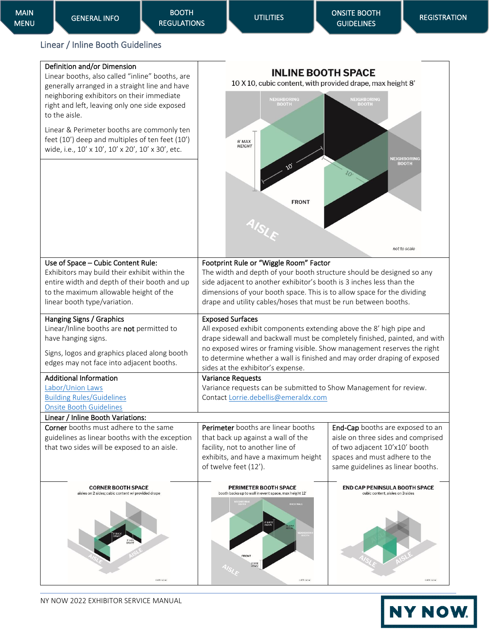## <span id="page-14-0"></span>Linear / Inline Booth Guidelines

| not to scale.                                                                                                                                                                                                    | col to scale                                                                                                                                                                                                                                                                                                                          | not to scale                                                                                                                                                                  |
|------------------------------------------------------------------------------------------------------------------------------------------------------------------------------------------------------------------|---------------------------------------------------------------------------------------------------------------------------------------------------------------------------------------------------------------------------------------------------------------------------------------------------------------------------------------|-------------------------------------------------------------------------------------------------------------------------------------------------------------------------------|
| <b>CORNER BOOTH SPACE</b><br>aisles on 2 sides; cubic content w/ provided drape                                                                                                                                  | PERIMETER BOOTH SPACE<br>booth backs up to wall in event space, max height 12'<br>BACK WALL<br>FRONT                                                                                                                                                                                                                                  | <b>END CAP PENINSULA BOOTH SPACE</b><br>cubic content, aisles on 3 sides                                                                                                      |
| <b>Corner</b> booths must adhere to the same<br>guidelines as linear booths with the exception<br>that two sides will be exposed to an aisle.                                                                    | Perimeter booths are linear booths<br>that back up against a wall of the<br>facility, not to another line of<br>exhibits, and have a maximum height<br>of twelve feet (12').                                                                                                                                                          | End-Cap booths are exposed to an<br>aisle on three sides and comprised<br>of two adjacent 10'x10' booth<br>spaces and must adhere to the<br>same guidelines as linear booths. |
| <b>Onsite Booth Guidelines</b><br>Linear / Inline Booth Variations:                                                                                                                                              |                                                                                                                                                                                                                                                                                                                                       |                                                                                                                                                                               |
| Labor/Union Laws<br><b>Building Rules/Guidelines</b>                                                                                                                                                             | Variance requests can be submitted to Show Management for review.<br>Contact Lorrie.debellis@emeraldx.com                                                                                                                                                                                                                             |                                                                                                                                                                               |
| <b>Additional Information</b>                                                                                                                                                                                    | sides at the exhibitor's expense.<br><b>Variance Requests</b>                                                                                                                                                                                                                                                                         |                                                                                                                                                                               |
| Hanging Signs / Graphics<br>Linear/Inline booths are not permitted to<br>have hanging signs.<br>Signs, logos and graphics placed along booth<br>edges may not face into adjacent booths.                         | <b>Exposed Surfaces</b><br>All exposed exhibit components extending above the 8' high pipe and<br>drape sidewall and backwall must be completely finished, painted, and with<br>no exposed wires or framing visible. Show management reserves the right<br>to determine whether a wall is finished and may order draping of exposed   |                                                                                                                                                                               |
| Use of Space - Cubic Content Rule:<br>Exhibitors may build their exhibit within the<br>entire width and depth of their booth and up<br>to the maximum allowable height of the<br>linear booth type/variation.    | Footprint Rule or "Wiggle Room" Factor<br>The width and depth of your booth structure should be designed so any<br>side adjacent to another exhibitor's booth is 3 inches less than the<br>dimensions of your booth space. This is to allow space for the dividing<br>drape and utility cables/hoses that must be run between booths. |                                                                                                                                                                               |
|                                                                                                                                                                                                                  |                                                                                                                                                                                                                                                                                                                                       | not to scale                                                                                                                                                                  |
|                                                                                                                                                                                                                  | <b>FRONT</b>                                                                                                                                                                                                                                                                                                                          |                                                                                                                                                                               |
| Linear & Perimeter booths are commonly ten<br>feet (10') deep and multiples of ten feet (10')<br>wide, i.e., 10' x 10', 10' x 20', 10' x 30', etc.                                                               | $8'$ MAX<br><b>HEIGHT</b>                                                                                                                                                                                                                                                                                                             | NEIGHBORING<br><b>BOOTH</b>                                                                                                                                                   |
| Linear booths, also called "inline" booths, are<br>generally arranged in a straight line and have<br>neighboring exhibitors on their immediate<br>right and left, leaving only one side exposed<br>to the aisle. | <b>INLINE BOOTH SPACE</b><br>10 X 10, cubic content, with provided drape, max height 8'<br><b>NEIGHBORING</b><br><b>BOOTH</b>                                                                                                                                                                                                         | <b>NEIGHBORING</b><br><b>BOOTH</b>                                                                                                                                            |
| Definition and/or Dimension                                                                                                                                                                                      |                                                                                                                                                                                                                                                                                                                                       |                                                                                                                                                                               |

# NY NOW.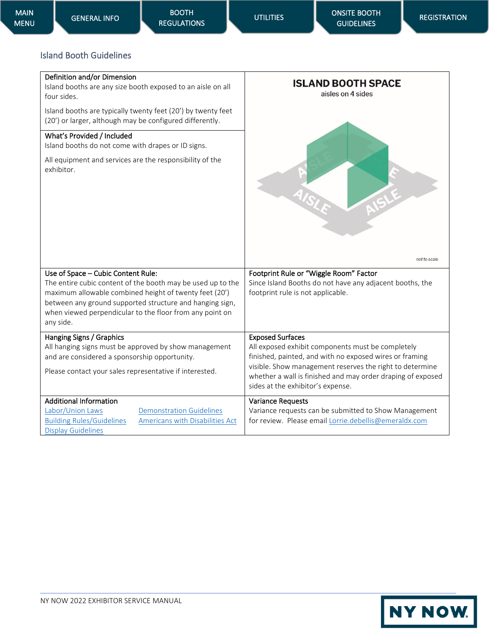## <span id="page-15-0"></span>Island Booth Guidelines

| Definition and/or Dimension<br>Island booths are any size booth exposed to an aisle on all<br>four sides.<br>Island booths are typically twenty feet (20') by twenty feet<br>(20') or larger, although may be configured differently.<br>What's Provided / Included<br>Island booths do not come with drapes or ID signs.<br>All equipment and services are the responsibility of the<br>exhibitor. | <b>ISLAND BOOTH SPACE</b><br>aisles on 4 sides                                                                                                                                                                                                                                                          |
|-----------------------------------------------------------------------------------------------------------------------------------------------------------------------------------------------------------------------------------------------------------------------------------------------------------------------------------------------------------------------------------------------------|---------------------------------------------------------------------------------------------------------------------------------------------------------------------------------------------------------------------------------------------------------------------------------------------------------|
|                                                                                                                                                                                                                                                                                                                                                                                                     | not to scale                                                                                                                                                                                                                                                                                            |
| Use of Space - Cubic Content Rule:<br>The entire cubic content of the booth may be used up to the<br>maximum allowable combined height of twenty feet (20')<br>between any ground supported structure and hanging sign,<br>when viewed perpendicular to the floor from any point on<br>any side.                                                                                                    | Footprint Rule or "Wiggle Room" Factor<br>Since Island Booths do not have any adjacent booths, the<br>footprint rule is not applicable.                                                                                                                                                                 |
| Hanging Signs / Graphics<br>All hanging signs must be approved by show management<br>and are considered a sponsorship opportunity.<br>Please contact your sales representative if interested.                                                                                                                                                                                                       | <b>Exposed Surfaces</b><br>All exposed exhibit components must be completely<br>finished, painted, and with no exposed wires or framing<br>visible. Show management reserves the right to determine<br>whether a wall is finished and may order draping of exposed<br>sides at the exhibitor's expense. |
| <b>Additional Information</b><br>Labor/Union Laws<br><b>Demonstration Guidelines</b><br>Americans with Disabilities Act<br><b>Building Rules/Guidelines</b><br><b>Display Guidelines</b>                                                                                                                                                                                                            | <b>Variance Requests</b><br>Variance requests can be submitted to Show Management<br>for review. Please email Lorrie.debellis@emeraldx.com                                                                                                                                                              |

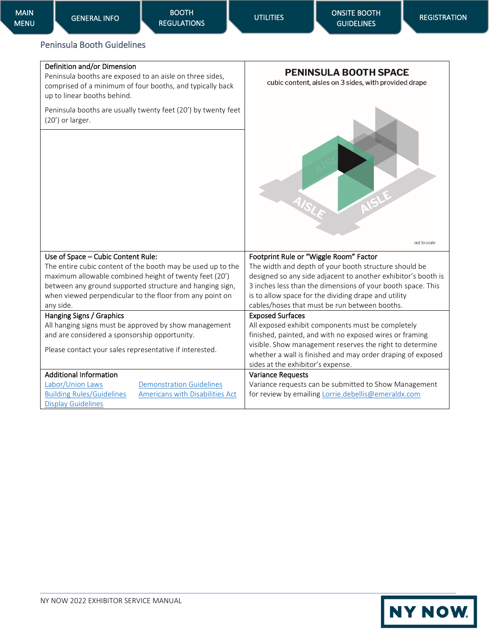## <span id="page-16-0"></span>Peninsula Booth Guidelines

#### Definition and/or Dimension

Peninsula booths are exposed to an aisle on three sides, comprised of a minimum of four booths, and typically back up to linear booths behind.

Peninsula booths are usually twenty feet (20') by twenty feet (20') or larger.



**PENINSULA BOOTH SPACE** 

| Footprint Rule or "Wiggle Room" Factor<br>The width and depth of your booth structure should be<br>designed so any side adjacent to another exhibitor's booth is<br>3 inches less than the dimensions of your booth space. This<br>is to allow space for the dividing drape and utility                 |
|---------------------------------------------------------------------------------------------------------------------------------------------------------------------------------------------------------------------------------------------------------------------------------------------------------|
| cables/hoses that must be run between booths.                                                                                                                                                                                                                                                           |
| <b>Exposed Surfaces</b><br>All exposed exhibit components must be completely<br>finished, painted, and with no exposed wires or framing<br>visible. Show management reserves the right to determine<br>whether a wall is finished and may order draping of exposed<br>sides at the exhibitor's expense. |
| <b>Variance Requests</b><br>Variance requests can be submitted to Show Management<br>for review by emailing Lorrie.debellis@emeraldx.com                                                                                                                                                                |
|                                                                                                                                                                                                                                                                                                         |

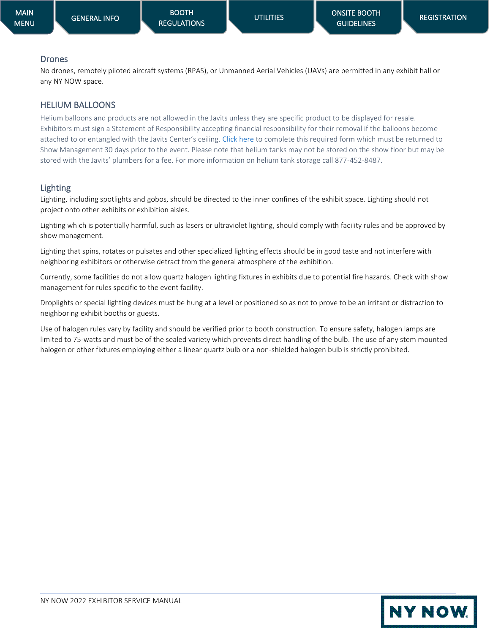## Drones

No drones, remotely piloted aircraft systems (RPAS), or Unmanned Aerial Vehicles (UAVs) are permitted in any exhibit hall or any NY NOW space.

## HELIUM BALLOONS

Helium balloons and products are not allowed in the Javits unless they are specific product to be displayed for resale. Exhibitors must sign a Statement of Responsibility accepting financial responsibility for their removal if the balloons become attached to or entangled with the Javits Center's ceiling. [Click here](https://nynow.a2zinc.net/Summer2022/Public/e_exhibitorconsole.aspx) to complete this required form which must be returned to Show Management 30 days prior to the event. Please note that helium tanks may not be stored on the show floor but may be stored with the Javits' plumbers for a fee. For more information on helium tank storage call 877-452-8487.

## Lighting

Lighting, including spotlights and gobos, should be directed to the inner confines of the exhibit space. Lighting should not project onto other exhibits or exhibition aisles.

Lighting which is potentially harmful, such as lasers or ultraviolet lighting, should comply with facility rules and be approved by show management.

Lighting that spins, rotates or pulsates and other specialized lighting effects should be in good taste and not interfere with neighboring exhibitors or otherwise detract from the general atmosphere of the exhibition.

Currently, some facilities do not allow quartz halogen lighting fixtures in exhibits due to potential fire hazards. Check with show management for rules specific to the event facility.

Droplights or special lighting devices must be hung at a level or positioned so as not to prove to be an irritant or distraction to neighboring exhibit booths or guests.

Use of halogen rules vary by facility and should be verified prior to booth construction. To ensure safety, halogen lamps are limited to 75-watts and must be of the sealed variety which prevents direct handling of the bulb. The use of any stem mounted halogen or other fixtures employing either a linear quartz bulb or a non-shielded halogen bulb is strictly prohibited.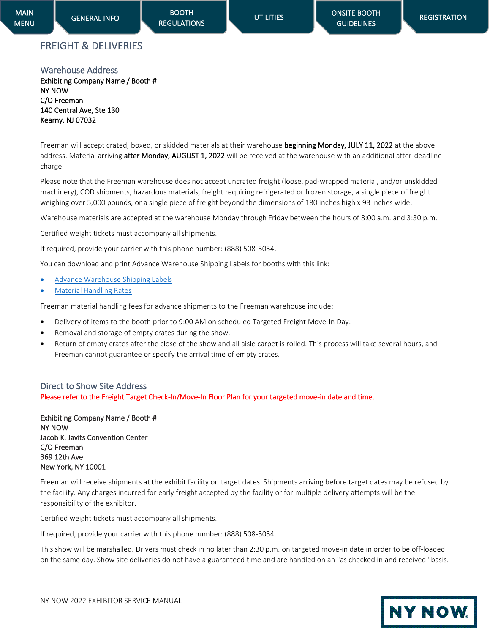**NY NOW.** 

## <span id="page-18-0"></span>FREIGHT & DELIVERIES

<span id="page-18-1"></span>Warehouse Address Exhibiting Company Name / Booth # NY NOW C/O Freeman 140 Central Ave, Ste 130 Kearny, NJ 07032

Freeman will accept crated, boxed, or skidded materials at their warehouse beginning Monday, JULY 11, 2022 at the above address. Material arriving after Monday, AUGUST 1, 2022 will be received at the warehouse with an additional after-deadline charge.

Please note that the Freeman warehouse does not accept uncrated freight (loose, pad-wrapped material, and/or unskidded machinery), COD shipments, hazardous materials, freight requiring refrigerated or frozen storage, a single piece of freight weighing over 5,000 pounds, or a single piece of freight beyond the dimensions of 180 inches high x 93 inches wide.

Warehouse materials are accepted at the warehouse Monday through Friday between the hours of 8:00 a.m. and 3:30 p.m.

Certified weight tickets must accompany all shipments.

If required, provide your carrier with this phone number: (888) 508-5054.

You can download and print Advance Warehouse Shipping Labels for booths with this link:

- [Advance Warehouse Shipping Labels](https://nynow.com/wp-content/uploads/2022/04/NY-NOW-S22-shipping-labels-warehouse.pdf)
- **[Material Handling Rates](https://nynow.com/wp-content/uploads/2022/05/material-handling-S22.pdf)**

Freeman material handling fees for advance shipments to the Freeman warehouse include:

- Delivery of items to the booth prior to 9:00 AM on scheduled Targeted Freight Move-In Day.
- Removal and storage of empty crates during the show.
- Return of empty crates after the close of the show and all aisle carpet is rolled. This process will take several hours, and Freeman cannot guarantee or specify the arrival time of empty crates.

#### <span id="page-18-2"></span>Direct to Show Site Address Please refer to the Freight Target Check-In/Move-In Floor Plan for your targeted move-in date and time.

Exhibiting Company Name / Booth # NY NOW Jacob K. Javits Convention Center C/O Freeman 369 12th Ave New York, NY 10001

Freeman will receive shipments at the exhibit facility on target dates. Shipments arriving before target dates may be refused by the facility. Any charges incurred for early freight accepted by the facility or for multiple delivery attempts will be the responsibility of the exhibitor.

Certified weight tickets must accompany all shipments.

If required, provide your carrier with this phone number: (888) 508-5054.

This show will be marshalled. Drivers must check in no later than 2:30 p.m. on targeted move-in date in order to be off-loaded on the same day. Show site deliveries do not have a guaranteed time and are handled on an "as checked in and received" basis.

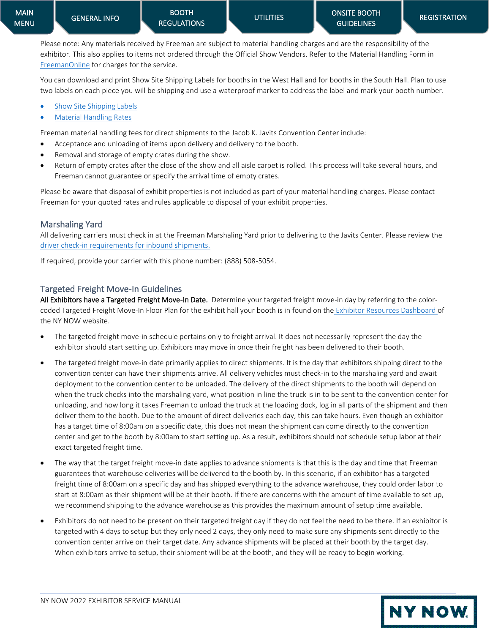**NY NOW** 

Please note: Any materials received by Freeman are subject to material handling charges and are the responsibility of the exhibitor. This also applies to items not ordered through the Official Show Vendors. Refer to the Material Handling Form in [FreemanOnline](https://www.freemanco.com/store?utm_source=Forms&utm_medium=PDF) for charges for the service.

You can download and print Show Site Shipping Labels for booths in the West Hall and for booths in the South Hall. Plan to use two labels on each piece you will be shipping and use a waterproof marker to address the label and mark your booth number.

- [Show Site Shipping Labels](https://nynow.com/wp-content/uploads/2022/04/NY-NOW-S22-shipping-labels-showsite.pdf)
- [Material Handling Rates](https://nynow.com/wp-content/uploads/2022/05/material-handling-S22.pdf)

Freeman material handling fees for direct shipments to the Jacob K. Javits Convention Center include:

- Acceptance and unloading of items upon delivery and delivery to the booth.
- Removal and storage of empty crates during the show.
- Return of empty crates after the close of the show and all aisle carpet is rolled. This process will take several hours, and Freeman cannot guarantee or specify the arrival time of empty crates.

Please be aware that disposal of exhibit properties is not included as part of your material handling charges. Please contact Freeman for your quoted rates and rules applicable to disposal of your exhibit properties.

#### <span id="page-19-0"></span>Marshaling Yard

All delivering carriers must check in at the Freeman Marshaling Yard prior to delivering to the Javits Center. Please review the [driver check-in requirements for inbound shipments.](https://nynow.com/wp-content/uploads/2022/05/driver-check-in-info.pdf)

If required, provide your carrier with this phone number: (888) 508-5054.

#### <span id="page-19-1"></span>Targeted Freight Move-In Guidelines

All Exhibitors have a Targeted Freight Move-In Date. Determine your targeted freight move-in day by referring to the colorcoded Targeted Freight Move-In Floor Plan for the exhibit hall your booth is in found on the [Exhibitor Resources Dashboard](https://nynow.a2zinc.net/Summer2022/Public/e_Login.aspx?FromPage=e_ExhibitorConsole&_ga=2.64316911.1788441476.1651582324-1997703713.1618420931) of the NY NOW website.

- The targeted freight move-in schedule pertains only to freight arrival. It does not necessarily represent the day the exhibitor should start setting up. Exhibitors may move in once their freight has been delivered to their booth.
- The targeted freight move-in date primarily applies to direct shipments. It is the day that exhibitors shipping direct to the convention center can have their shipments arrive. All delivery vehicles must check-in to the marshaling yard and await deployment to the convention center to be unloaded. The delivery of the direct shipments to the booth will depend on when the truck checks into the marshaling yard, what position in line the truck is in to be sent to the convention center for unloading, and how long it takes Freeman to unload the truck at the loading dock, log in all parts of the shipment and then deliver them to the booth. Due to the amount of direct deliveries each day, this can take hours. Even though an exhibitor has a target time of 8:00am on a specific date, this does not mean the shipment can come directly to the convention center and get to the booth by 8:00am to start setting up. As a result, exhibitors should not schedule setup labor at their exact targeted freight time.
- The way that the target freight move-in date applies to advance shipments is that this is the day and time that Freeman guarantees that warehouse deliveries will be delivered to the booth by. In this scenario, if an exhibitor has a targeted freight time of 8:00am on a specific day and has shipped everything to the advance warehouse, they could order labor to start at 8:00am as their shipment will be at their booth. If there are concerns with the amount of time available to set up, we recommend shipping to the advance warehouse as this provides the maximum amount of setup time available.
- Exhibitors do not need to be present on their targeted freight day if they do not feel the need to be there. If an exhibitor is targeted with 4 days to setup but they only need 2 days, they only need to make sure any shipments sent directly to the convention center arrive on their target date. Any advance shipments will be placed at their booth by the target day. When exhibitors arrive to setup, their shipment will be at the booth, and they will be ready to begin working.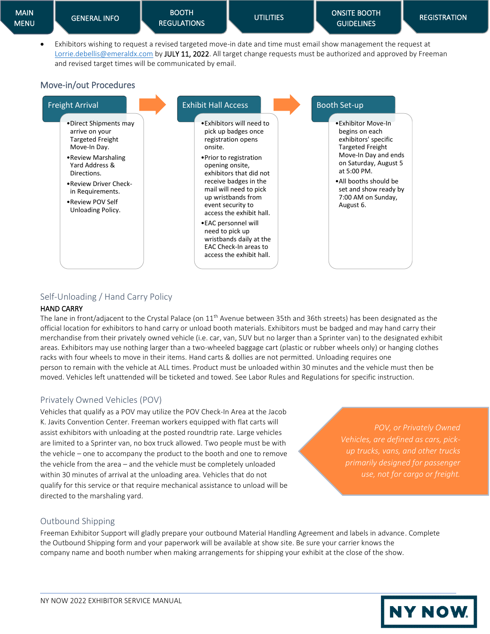• Exhibitors wishing to request a revised targeted move-in date and time must email show management the request at [Lorrie.debellis@emeraldx.com](mailto:Lorrie.debellis@emeraldx.com) by JULY 11, 2022. All target change requests must be authorized and approved by Freeman and revised target times will be communicated by email.

## <span id="page-20-0"></span>Move-in/out Procedures

![](_page_20_Figure_8.jpeg)

## Self-Unloading / Hand Carry Policy

#### HAND CARRY

The lane in front/adjacent to the Crystal Palace (on 11<sup>th</sup> Avenue between 35th and 36th streets) has been designated as the official location for exhibitors to hand carry or unload booth materials. Exhibitors must be badged and may hand carry their merchandise from their privately owned vehicle (i.e. car, van, SUV but no larger than a Sprinter van) to the designated exhibit areas. Exhibitors may use nothing larger than a two-wheeled baggage cart (plastic or rubber wheels only) or hanging clothes racks with four wheels to move in their items. Hand carts & dollies are not permitted. Unloading requires one person to remain with the vehicle at ALL times. Product must be unloaded within 30 minutes and the vehicle must then be moved. Vehicles left unattended will be ticketed and towed. See Labor Rules and Regulations for specific instruction.

## Privately Owned Vehicles (POV)

Vehicles that qualify as a POV may utilize the POV Check-In Area at the Jacob K. Javits Convention Center. Freeman workers equipped with flat carts will assist exhibitors with unloading at the posted roundtrip rate. Large vehicles are limited to a Sprinter van, no box truck allowed. Two people must be with the vehicle – one to accompany the product to the booth and one to remove the vehicle from the area – and the vehicle must be completely unloaded within 30 minutes of arrival at the unloading area. Vehicles that do not qualify for this service or that require mechanical assistance to unload will be directed to the marshaling yard.

*POV, or Privately Owned Vehicles, are defined as cars, pickup trucks, vans, and other trucks primarily designed for passenger use, not for cargo or freight.*

## Outbound Shipping

Freeman Exhibitor Support will gladly prepare your outbound Material Handling Agreement and labels in advance. Complete the Outbound Shipping form and your paperwork will be available at show site. Be sure your carrier knows the company name and booth number when making arrangements for shipping your exhibit at the close of the show.

![](_page_20_Picture_17.jpeg)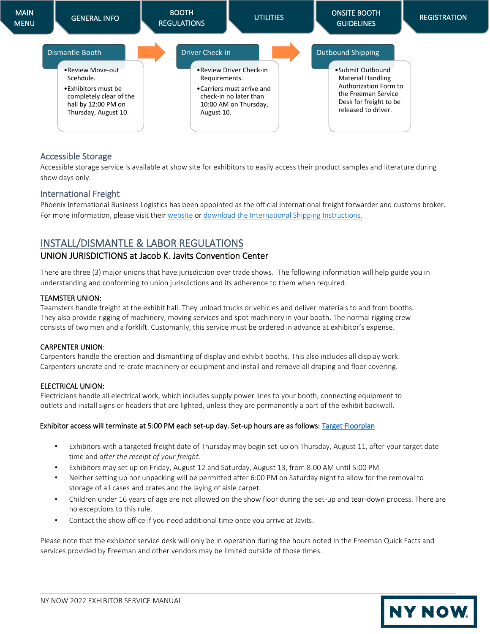![](_page_21_Figure_0.jpeg)

#### <span id="page-21-0"></span>Accessible Storage

Accessible storage service is available at show site for exhibitors to easily access their product samples and literature during show days only.

#### <span id="page-21-1"></span>International Freight

Phoenix International Business Logistics has been appointed as the official international freight forwarder and customs broker. For more information, please visit thei[r website](https://phoenixlogistics.com/) o[r download the International Shipping Instructions.](https://nynow.com/wp-content/uploads/2022/05/phoenix-intl-S22.pdf)

## <span id="page-21-2"></span>INSTALL/DISMANTLE & LABOR REGULATIONS

#### UNION JURISDICTIONS at Jacob K. Javits Convention Center

There are three (3) major unions that have jurisdiction over trade shows. The following information will help guide you in understanding and conforming to union jurisdictions and its adherence to them when required.

#### TEAMSTER UNION:

Teamsters handle freight at the exhibit hall. They unload trucks or vehicles and deliver materials to and from booths. They also provide rigging of machinery, moving services and spot machinery in your booth. The normal rigging crew consists of two men and a forklift. Customarily, this service must be ordered in advance at exhibitor's expense.

#### CARPENTER UNION:

Carpenters handle the erection and dismantling of display and exhibit booths. This also includes all display work. Carpenters uncrate and re-crate machinery or equipment and install and remove all draping and floor covering.

#### ELECTRICAL UNION:

Electricians handle all electrical work, which includes supply power lines to your booth, connecting equipment to outlets and install signs or headers that are lighted, unless they are permanently a part of the exhibit backwall.

#### Exhibitor access will terminate at 5:00 PM each set-up day. Set-up hours are as follows: Target Floorplan

- Exhibitors with a targeted freight date of Thursday may begin set-up on Thursday, August 11, after your target date time and *after the receipt of your freight.*
- Exhibitors may set up on Friday, August 12 and Saturday, August 13, from 8:00 AM until 5:00 PM.
- Neither setting up nor unpacking will be permitted after 6:00 PM on Saturday night to allow for the removal to storage of all cases and crates and the laying of aisle carpet.
- Children under 16 years of age are not allowed on the show floor during the set-up and tear-down process. There are no exceptions to this rule.
- Contact the show office if you need additional time once you arrive at Javits.

Please note that the exhibitor service desk will only be in operation during the hours noted in the Freeman Quick Facts and services provided by Freeman and other vendors may be limited outside of those times.

![](_page_21_Picture_21.jpeg)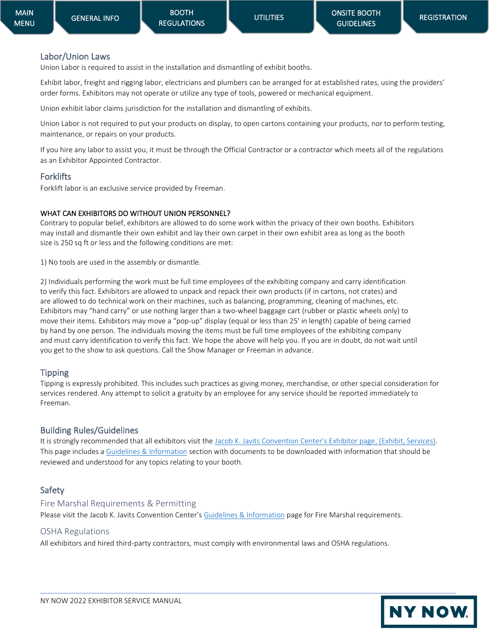**NY NOW** 

#### <span id="page-22-0"></span>Labor/Union Laws

Union Labor is required to assist in the installation and dismantling of exhibit booths.

Exhibit labor, freight and rigging labor, electricians and plumbers can be arranged for at established rates, using the providers' order forms. Exhibitors may not operate or utilize any type of tools, powered or mechanical equipment.

Union exhibit labor claims jurisdiction for the installation and dismantling of exhibits.

Union Labor is not required to put your products on display, to open cartons containing your products, nor to perform testing, maintenance, or repairs on your products.

If you hire any labor to assist you, it must be through the Official Contractor or a contractor which meets all of the regulations as an Exhibitor Appointed Contractor.

#### **Forklifts**

Forklift labor is an exclusive service provided by Freeman.

#### WHAT CAN EXHIBITORS DO WITHOUT UNION PERSONNEL?

Contrary to popular belief, exhibitors are allowed to do some work within the privacy of their own booths. Exhibitors may install and dismantle their own exhibit and lay their own carpet in their own exhibit area as long as the booth size is 250 sq ft or less and the following conditions are met:

1) No tools are used in the assembly or dismantle.

2) Individuals performing the work must be full time employees of the exhibiting company and carry identification to verify this fact. Exhibitors are allowed to unpack and repack their own products (if in cartons, not crates) and are allowed to do technical work on their machines, such as balancing, programming, cleaning of machines, etc. Exhibitors may "hand carry" or use nothing larger than a two-wheel baggage cart (rubber or plastic wheels only) to move their items. Exhibitors may move a "pop-up" display (equal or less than 25' in length) capable of being carried by hand by one person. The individuals moving the items must be full time employees of the exhibiting company and must carry identification to verify this fact. We hope the above will help you. If you are in doubt, do not wait until you get to the show to ask questions. Call the Show Manager or Freeman in advance.

#### Tipping

Tipping is expressly prohibited. This includes such practices as giving money, merchandise, or other special consideration for services rendered. Any attempt to solicit a gratuity by an employee for any service should be reported immediately to Freeman.

#### <span id="page-22-3"></span><span id="page-22-1"></span>Building Rules/Guidelines

It is strongly recommended that all exhibitors visit the [Jacob K. Javits Convention Center's Exhibitor page](https://javitscenter.com/), (Exhibit, Services). This page includes a [Guidelines & Information](https://www.javitscenter.com/media/111849/5090_javits_toolkit_010815.pdf) section with documents to be downloaded with information that should be reviewed and understood for any topics relating to your booth.

## <span id="page-22-2"></span>Safety

## Fire Marshal Requirements & Permitting

Please visit the Jacob K. Javits Convention Center's [Guidelines & Information](https://www.javitscenter.com/en/plan/policies/) page for Fire Marshal requirements.

## OSHA Regulations

All exhibitors and hired third-party contractors, must comply with environmental laws and OSHA regulations.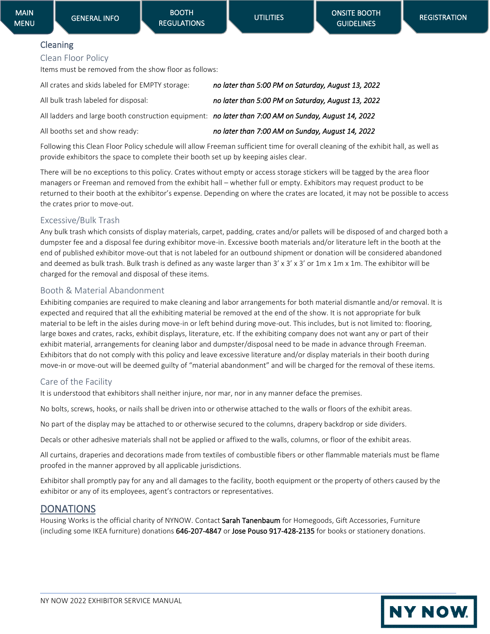## <span id="page-23-0"></span>Cleaning Clean Floor Policy

Items must be removed from the show floor as follows:

| All crates and skids labeled for EMPTY storage:                                                      | no later than 5:00 PM on Saturday, August 13, 2022 |
|------------------------------------------------------------------------------------------------------|----------------------------------------------------|
| All bulk trash labeled for disposal:                                                                 | no later than 5:00 PM on Saturday, August 13, 2022 |
| All ladders and large booth construction equipment: no later than 7:00 AM on Sunday, August 14, 2022 |                                                    |
| All booths set and show ready:                                                                       | no later than 7:00 AM on Sunday, August 14, 2022   |

Following this Clean Floor Policy schedule will allow Freeman sufficient time for overall cleaning of the exhibit hall, as well as provide exhibitors the space to complete their booth set up by keeping aisles clear.

There will be no exceptions to this policy. Crates without empty or access storage stickers will be tagged by the area floor managers or Freeman and removed from the exhibit hall – whether full or empty. Exhibitors may request product to be returned to their booth at the exhibitor's expense. Depending on where the crates are located, it may not be possible to access the crates prior to move-out.

## Excessive/Bulk Trash

Any bulk trash which consists of display materials, carpet, padding, crates and/or pallets will be disposed of and charged both a dumpster fee and a disposal fee during exhibitor move-in. Excessive booth materials and/or literature left in the booth at the end of published exhibitor move-out that is not labeled for an outbound shipment or donation will be considered abandoned and deemed as bulk trash. Bulk trash is defined as any waste larger than  $3' \times 3' \times 3'$  or  $1m \times 1m \times 1m$ . The exhibitor will be charged for the removal and disposal of these items.

## Booth & Material Abandonment

Exhibiting companies are required to make cleaning and labor arrangements for both material dismantle and/or removal. It is expected and required that all the exhibiting material be removed at the end of the show. It is not appropriate for bulk material to be left in the aisles during move-in or left behind during move-out. This includes, but is not limited to: flooring, large boxes and crates, racks, exhibit displays, literature, etc. If the exhibiting company does not want any or part of their exhibit material, arrangements for cleaning labor and dumpster/disposal need to be made in advance through Freeman. Exhibitors that do not comply with this policy and leave excessive literature and/or display materials in their booth during move-in or move-out will be deemed guilty of "material abandonment" and will be charged for the removal of these items.

## Care of the Facility

It is understood that exhibitors shall neither injure, nor mar, nor in any manner deface the premises.

No bolts, screws, hooks, or nails shall be driven into or otherwise attached to the walls or floors of the exhibit areas.

No part of the display may be attached to or otherwise secured to the columns, drapery backdrop or side dividers.

Decals or other adhesive materials shall not be applied or affixed to the walls, columns, or floor of the exhibit areas.

All curtains, draperies and decorations made from textiles of combustible fibers or other flammable materials must be flame proofed in the manner approved by all applicable jurisdictions.

Exhibitor shall promptly pay for any and all damages to the facility, booth equipment or the property of others caused by the exhibitor or any of its employees, agent's contractors or representatives.

## <span id="page-23-1"></span>**DONATIONS**

Housing Works is the official charity of NYNOW. Contact Sarah Tanenbaum for Homegoods, Gift Accessories, Furniture (including some IKEA furniture) donations 646-207-4847 or Jose Pouso 917-428-2135 for books or stationery donations.

![](_page_23_Picture_25.jpeg)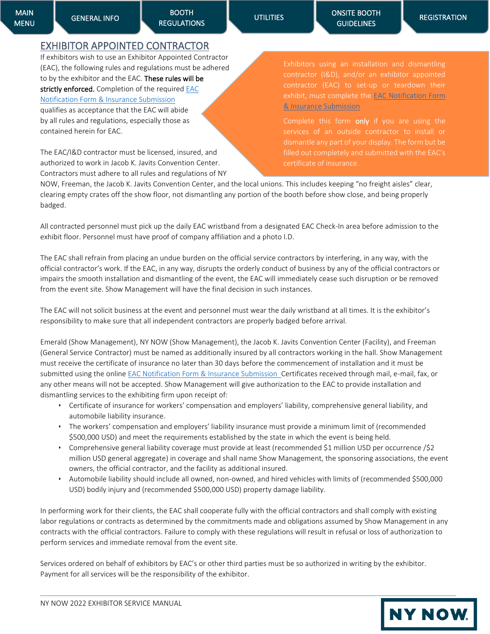BOOTH [REGULATIONS](#page-8-0) 

**NY NOW.** 

## <span id="page-24-0"></span>EXHIBITOR APPOINTED CONTRACTOR

If exhibitors wish to use an Exhibitor Appointed Contractor (EAC), the following rules and regulations must be adhered to by the exhibitor and the EAC. These rules will be strictly enforced. Completion of the required EAC [Notification Form & Insurance Submission](https://nynow.a2zinc.net/Summer2022/Public/e_exhibitorconsole.aspx) qualifies as acceptance that the EAC will abide by all rules and regulations, especially those as contained herein for EAC.

The EAC/I&D contractor must be licensed, insured, and authorized to work in Jacob K. Javits Convention Center. Contractors must adhere to all rules and regulations of NY contractor (I&D), and/or an exhibitor appointed exhibit, must complete the **EAC Notification Form** [& Insurance Submission](https://nynow.a2zinc.net/Summer2022/Public/e_exhibitorconsole.aspx)

Complete this form only if you are using the certificate of insurance.

NOW, Freeman, the Jacob K. Javits Convention Center, and the local unions. This includes keeping "no freight aisles" clear, clearing empty crates off the show floor, not dismantling any portion of the booth before show close, and being properly badged.

All contracted personnel must pick up the daily EAC wristband from a designated EAC Check-In area before admission to the exhibit floor. Personnel must have proof of company affiliation and a photo I.D.

The EAC shall refrain from placing an undue burden on the official service contractors by interfering, in any way, with the official contractor's work. If the EAC, in any way, disrupts the orderly conduct of business by any of the official contractors or impairs the smooth installation and dismantling of the event, the EAC will immediately cease such disruption or be removed from the event site. Show Management will have the final decision in such instances.

The EAC will not solicit business at the event and personnel must wear the daily wristband at all times. It is the exhibitor's responsibility to make sure that all independent contractors are properly badged before arrival.

Emerald (Show Management), NY NOW (Show Management), the Jacob K. Javits Convention Center (Facility), and Freeman (General Service Contractor) must be named as additionally insured by all contractors working in the hall. Show Management must receive the certificate of insurance no later than 30 days before the commencement of installation and it must be submitted using the online [EAC Notification Form & Insurance Submission](https://nynow.a2zinc.net/Summer2022/Public/e_exhibitorconsole.aspx) Certificates received through mail, e-mail, fax, or any other means will not be accepted. Show Management will give authorization to the EAC to provide installation and dismantling services to the exhibiting firm upon receipt of:

- Certificate of insurance for workers' compensation and employers' liability, comprehensive general liability, and automobile liability insurance.
- The workers' compensation and employers' liability insurance must provide a minimum limit of (recommended \$500,000 USD) and meet the requirements established by the state in which the event is being held.
- Comprehensive general liability coverage must provide at least (recommended \$1 million USD per occurrence /\$2 million USD general aggregate) in coverage and shall name Show Management, the sponsoring associations, the event owners, the official contractor, and the facility as additional insured.
- Automobile liability should include all owned, non-owned, and hired vehicles with limits of (recommended \$500,000 USD) bodily injury and (recommended \$500,000 USD) property damage liability.

In performing work for their clients, the EAC shall cooperate fully with the official contractors and shall comply with existing labor regulations or contracts as determined by the commitments made and obligations assumed by Show Management in any contracts with the official contractors. Failure to comply with these regulations will result in refusal or loss of authorization to perform services and immediate removal from the event site.

Services ordered on behalf of exhibitors by EAC's or other third parties must be so authorized in writing by the exhibitor. Payment for all services will be the responsibility of the exhibitor.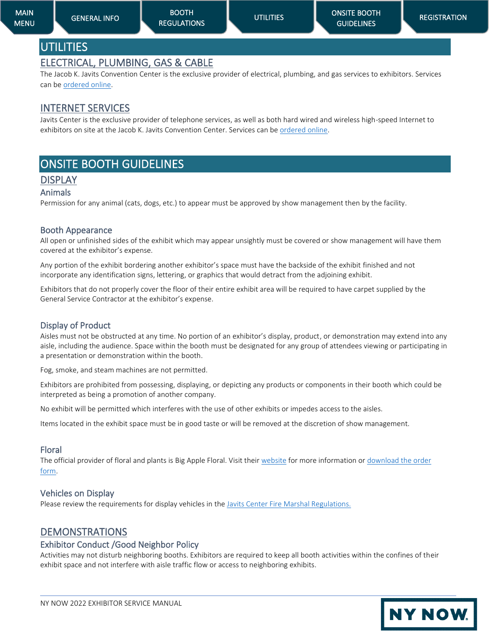## <span id="page-25-1"></span><span id="page-25-0"></span>ELECTRICAL, PLUMBING, GAS & CABLE

The Jacob K. Javits Convention Center is the exclusive provider of electrical, plumbing, and gas services to exhibitors. Services can be [ordered online.](https://www.javitscenter.com/en/exhibit/services/)

## <span id="page-25-2"></span>INTERNET SERVICES

Javits Center is the exclusive provider of telephone services, as well as both hard wired and wireless high-speed Internet to exhibitors on site at the Jacob K. Javits Convention Center. Services can be [ordered online.](https://www.javitscenter.com/en/exhibit/services/)

# <span id="page-25-3"></span>ONSITE BOOTH GUIDELINES

## <span id="page-25-4"></span>DISPLAY

#### <span id="page-25-5"></span>Animals

Permission for any animal (cats, dogs, etc.) to appear must be approved by show management then by the facility.

#### <span id="page-25-6"></span>Booth Appearance

All open or unfinished sides of the exhibit which may appear unsightly must be covered or show management will have them covered at the exhibitor's expense.

Any portion of the exhibit bordering another exhibitor's space must have the backside of the exhibit finished and not incorporate any identification signs, lettering, or graphics that would detract from the adjoining exhibit.

Exhibitors that do not properly cover the floor of their entire exhibit area will be required to have carpet supplied by the General Service Contractor at the exhibitor's expense.

## <span id="page-25-7"></span>Display of Product

Aisles must not be obstructed at any time. No portion of an exhibitor's display, product, or demonstration may extend into any aisle, including the audience. Space within the booth must be designated for any group of attendees viewing or participating in a presentation or demonstration within the booth.

Fog, smoke, and steam machines are not permitted.

Exhibitors are prohibited from possessing, displaying, or depicting any products or components in their booth which could be interpreted as being a promotion of another company.

No exhibit will be permitted which interferes with the use of other exhibits or impedes access to the aisles.

Items located in the exhibit space must be in good taste or will be removed at the discretion of show management.

#### <span id="page-25-8"></span>Floral

The official provider of floral and plants is Big Apple Floral. Visit thei[r website](https://www.bigappleflorist.com/) for more information o[r download the order](https://nynow.com/wp-content/uploads/2022/04/Floral-order-form.pdf)  [form.](https://nynow.com/wp-content/uploads/2022/04/Floral-order-form.pdf)

## <span id="page-25-9"></span>Vehicles on Display

Please review the requirements for display vehicles in th[e Javits Center Fire Marshal Regulations.](https://www.javitscenter.com/en/plan/policies/)

## <span id="page-25-10"></span>DEMONSTRATIONS

#### <span id="page-25-11"></span>Exhibitor Conduct /Good Neighbor Policy

Activities may not disturb neighboring booths. Exhibitors are required to keep all booth activities within the confines of their exhibit space and not interfere with aisle traffic flow or access to neighboring exhibits.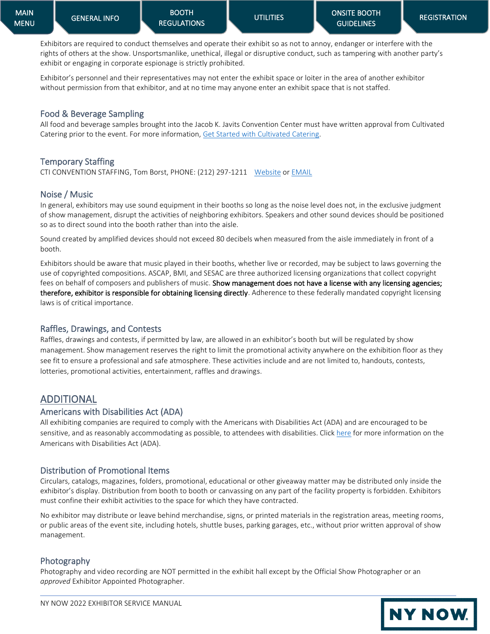**NY NOW.** 

Exhibitors are required to conduct themselves and operate their exhibit so as not to annoy, endanger or interfere with the rights of others at the show. Unsportsmanlike, unethical, illegal or disruptive conduct, such as tampering with another party's exhibit or engaging in corporate espionage is strictly prohibited.

Exhibitor's personnel and their representatives may not enter the exhibit space or loiter in the area of another exhibitor without permission from that exhibitor, and at no time may anyone enter an exhibit space that is not staffed.

## <span id="page-26-0"></span>Food & Beverage Sampling

All food and beverage samples brought into the Jacob K. Javits Convention Center must have written approval from Cultivated Catering prior to the event. For more information, [Get Started with Cultivated Catering.](https://preorder.tapin2.co/294)

## <span id="page-26-1"></span>Temporary Staffing

CTI CONVENTION STAFFING, Tom Borst, PHONE: (212) 297-1211 [Website](http://www.cticonventionstaffing.com/) o[r EMAIL](mailto:TBORST@CTIMETROPOLITAN.COM?subject=NYNOW%2022)

## <span id="page-26-2"></span>Noise / Music

In general, exhibitors may use sound equipment in their booths so long as the noise level does not, in the exclusive judgment of show management, disrupt the activities of neighboring exhibitors. Speakers and other sound devices should be positioned so as to direct sound into the booth rather than into the aisle.

Sound created by amplified devices should not exceed 80 decibels when measured from the aisle immediately in front of a booth.

Exhibitors should be aware that music played in their booths, whether live or recorded, may be subject to laws governing the use of copyrighted compositions. ASCAP, BMI, and SESAC are three authorized licensing organizations that collect copyright fees on behalf of composers and publishers of music. Show management does not have a license with any licensing agencies; therefore, exhibitor is responsible for obtaining licensing directly. Adherence to these federally mandated copyright licensing laws is of critical importance.

#### <span id="page-26-3"></span>Raffles, Drawings, and Contests

Raffles, drawings and contests, if permitted by law, are allowed in an exhibitor's booth but will be regulated by show management. Show management reserves the right to limit the promotional activity anywhere on the exhibition floor as they see fit to ensure a professional and safe atmosphere. These activities include and are not limited to, handouts, contests, lotteries, promotional activities, entertainment, raffles and drawings.

## <span id="page-26-4"></span>ADDITIONAL

#### <span id="page-26-5"></span>Americans with Disabilities Act (ADA)

All exhibiting companies are required to comply with the Americans with Disabilities Act (ADA) and are encouraged to be sensitive, and as reasonably accommodating as possible, to attendees with disabilities. Clic[k here](https://www.ada.gov/) for more information on the Americans with Disabilities Act (ADA).

#### <span id="page-26-6"></span>Distribution of Promotional Items

Circulars, catalogs, magazines, folders, promotional, educational or other giveaway matter may be distributed only inside the exhibitor's display. Distribution from booth to booth or canvassing on any part of the facility property is forbidden. Exhibitors must confine their exhibit activities to the space for which they have contracted.

No exhibitor may distribute or leave behind merchandise, signs, or printed materials in the registration areas, meeting rooms, or public areas of the event site, including hotels, shuttle buses, parking garages, etc., without prior written approval of show management.

## <span id="page-26-7"></span>Photography

Photography and video recording are NOT permitted in the exhibit hall except by the Official Show Photographer or an *approved* Exhibitor Appointed Photographer.

![](_page_26_Picture_26.jpeg)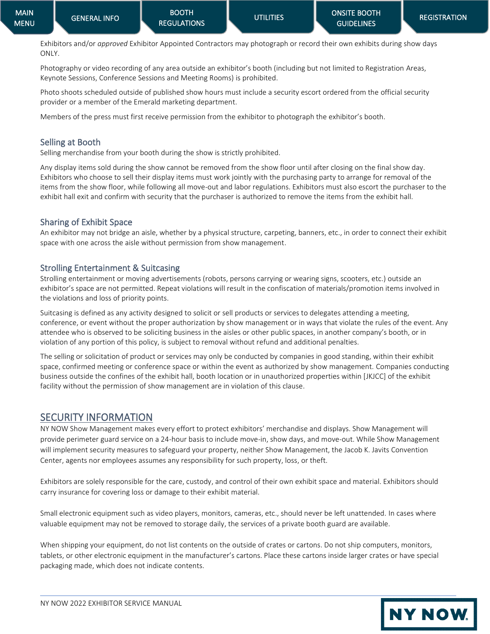Exhibitors and/or *approved* Exhibitor Appointed Contractors may photograph or record their own exhibits during show days ONLY.

Photography or video recording of any area outside an exhibitor's booth (including but not limited to Registration Areas, Keynote Sessions, Conference Sessions and Meeting Rooms) is prohibited.

Photo shoots scheduled outside of published show hours must include a security escort ordered from the official security provider or a member of the Emerald marketing department.

Members of the press must first receive permission from the exhibitor to photograph the exhibitor's booth.

## <span id="page-27-0"></span>Selling at Booth

Selling merchandise from your booth during the show is strictly prohibited.

Any display items sold during the show cannot be removed from the show floor until after closing on the final show day. Exhibitors who choose to sell their display items must work jointly with the purchasing party to arrange for removal of the items from the show floor, while following all move-out and labor regulations. Exhibitors must also escort the purchaser to the exhibit hall exit and confirm with security that the purchaser is authorized to remove the items from the exhibit hall.

## <span id="page-27-1"></span>Sharing of Exhibit Space

An exhibitor may not bridge an aisle, whether by a physical structure, carpeting, banners, etc., in order to connect their exhibit space with one across the aisle without permission from show management.

## <span id="page-27-2"></span>Strolling Entertainment & Suitcasing

Strolling entertainment or moving advertisements (robots, persons carrying or wearing signs, scooters, etc.) outside an exhibitor's space are not permitted. Repeat violations will result in the confiscation of materials/promotion items involved in the violations and loss of priority points.

Suitcasing is defined as any activity designed to solicit or sell products or services to delegates attending a meeting, conference, or event without the proper authorization by show management or in ways that violate the rules of the event. Any attendee who is observed to be soliciting business in the aisles or other public spaces, in another company's booth, or in violation of any portion of this policy, is subject to removal without refund and additional penalties.

The selling or solicitation of product or services may only be conducted by companies in good standing, within their exhibit space, confirmed meeting or conference space or within the event as authorized by show management. Companies conducting business outside the confines of the exhibit hall, booth location or in unauthorized properties within [JKJCC] of the exhibit facility without the permission of show management are in violation of this clause.

## <span id="page-27-3"></span>SECURITY INFORMATION

NY NOW Show Management makes every effort to protect exhibitors' merchandise and displays. Show Management will provide perimeter guard service on a 24-hour basis to include move-in, show days, and move-out. While Show Management will implement security measures to safeguard your property, neither Show Management, the Jacob K. Javits Convention Center, agents nor employees assumes any responsibility for such property, loss, or theft.

Exhibitors are solely responsible for the care, custody, and control of their own exhibit space and material. Exhibitors should carry insurance for covering loss or damage to their exhibit material.

Small electronic equipment such as video players, monitors, cameras, etc., should never be left unattended. In cases where valuable equipment may not be removed to storage daily, the services of a private booth guard are available.

When shipping your equipment, do not list contents on the outside of crates or cartons. Do not ship computers, monitors, tablets, or other electronic equipment in the manufacturer's cartons. Place these cartons inside larger crates or have special packaging made, which does not indicate contents.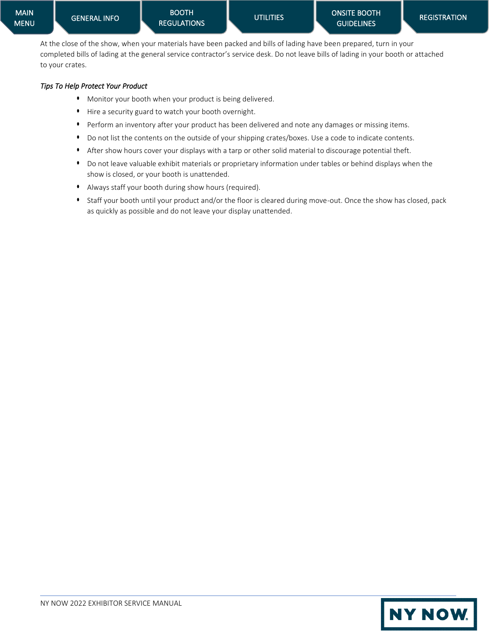At the close of the show, when your materials have been packed and bills of lading have been prepared, turn in your completed bills of lading at the general service contractor's service desk. Do not leave bills of lading in your booth or attached to your crates.

#### *Tips To Help Protect Your Product*

- Monitor your booth when your product is being delivered.
- Hire a security guard to watch your booth overnight.
- Perform an inventory after your product has been delivered and note any damages or missing items.
- Do not list the contents on the outside of your shipping crates/boxes. Use a code to indicate contents.
- After show hours cover your displays with a tarp or other solid material to discourage potential theft.
- Do not leave valuable exhibit materials or proprietary information under tables or behind displays when the show is closed, or your booth is unattended.
- Always staff your booth during show hours (required).
- Staff your booth until your product and/or the floor is cleared during move-out. Once the show has closed, pack as quickly as possible and do not leave your display unattended.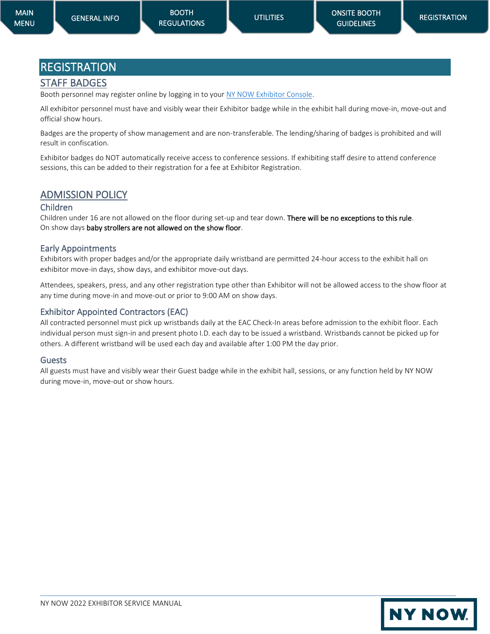# <span id="page-29-0"></span>REGISTRATION

## <span id="page-29-1"></span>STAFF BADGES

Booth personnel may register online by logging in to your [NY NOW Exhibitor Console.](https://nynow.a2zinc.net/Summer2022/Public/e_exhibitorconsole.aspx)

All exhibitor personnel must have and visibly wear their Exhibitor badge while in the exhibit hall during move-in, move-out and official show hours.

Badges are the property of show management and are non-transferable. The lending/sharing of badges is prohibited and will result in confiscation.

Exhibitor badges do NOT automatically receive access to conference sessions. If exhibiting staff desire to attend conference sessions, this can be added to their registration for a fee at Exhibitor Registration.

## <span id="page-29-2"></span>ADMISSION POLICY

## <span id="page-29-3"></span>Children

Children under 16 are not allowed on the floor during set-up and tear down. There will be no exceptions to this rule. On show days baby strollers are not allowed on the show floor.

## <span id="page-29-4"></span>Early Appointments

Exhibitors with proper badges and/or the appropriate daily wristband are permitted 24-hour access to the exhibit hall on exhibitor move-in days, show days, and exhibitor move-out days.

Attendees, speakers, press, and any other registration type other than Exhibitor will not be allowed access to the show floor at any time during move-in and move-out or prior to 9:00 AM on show days.

## <span id="page-29-5"></span>Exhibitor Appointed Contractors (EAC)

All contracted personnel must pick up wristbands daily at the EAC Check-In areas before admission to the exhibit floor. Each individual person must sign-in and present photo I.D. each day to be issued a wristband. Wristbands cannot be picked up for others. A different wristband will be used each day and available after 1:00 PM the day prior.

#### <span id="page-29-6"></span>Guests

All guests must have and visibly wear their Guest badge while in the exhibit hall, sessions, or any function held by NY NOW during move-in, move-out or show hours.

![](_page_29_Picture_22.jpeg)